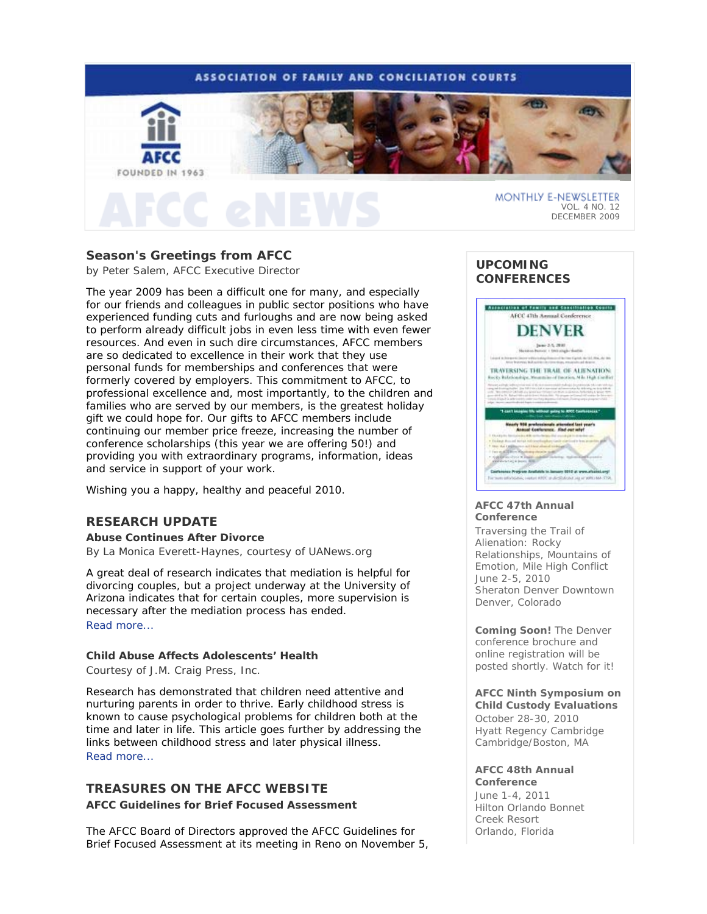

# **Season's Greetings from AFCC**

*by Peter Salem, AFCC Executive Director* 

The year 2009 has been a difficult one for many, and especially for our friends and colleagues in public sector positions who have experienced funding cuts and furloughs and are now being asked to perform already difficult jobs in even less time with even fewer resources. And even in such dire circumstances, AFCC members are so dedicated to excellence in their work that they use personal funds for memberships and conferences that were formerly covered by employers. This commitment to AFCC, to professional excellence and, most importantly, to the children and families who are served by our members, is the greatest holiday gift we could hope for. Our gifts to AFCC members include continuing our member price freeze, increasing the number of conference scholarships (this year we are offering 50!) and providing you with extraordinary programs, information, ideas and service in support of your work.

Wishing you a happy, healthy and peaceful 2010.

## **RESEARCH UPDATE**

**Abuse Continues After Divorce**  *By La Monica Everett-Haynes, courtesy of UANews.org* 

A great deal of research indicates that mediation is helpful for divorcing couples, but a project underway at the University of Arizona indicates that for certain couples, more supervision is necessary after the mediation process has ended. Read more...

## **Child Abuse Affects Adolescents' Health**

*Courtesy of J.M. Craig Press, Inc.* 

Research has demonstrated that children need attentive and nurturing parents in order to thrive. Early childhood stress is known to cause psychological problems for children both at the time and later in life. This article goes further by addressing the links between childhood stress and later physical illness. Read more...

# **TREASURES ON THE AFCC WEBSITE AFCC Guidelines for Brief Focused Assessment**

The AFCC Board of Directors approved the AFCC Guidelines for Brief Focused Assessment at its meeting in Reno on November 5,

## **UPCOMING CONFERENCES**



#### **AFCC 47th Annual Conference**

*Traversing the Trail of Alienation: Rocky Relationships, Mountains of Emotion, Mile High Conflict* June 2-5, 2010 Sheraton Denver Downtown Denver, Colorado

*Coming Soon! The Denver conference brochure and online registration will be posted shortly. Watch for it!*

**AFCC Ninth Symposium on Child Custody Evaluations**  October 28-30, 2010 Hyatt Regency Cambridge Cambridge/Boston, MA

#### **AFCC 48th Annual Conference**

June 1-4, 2011 Hilton Orlando Bonnet Creek Resort Orlando, Florida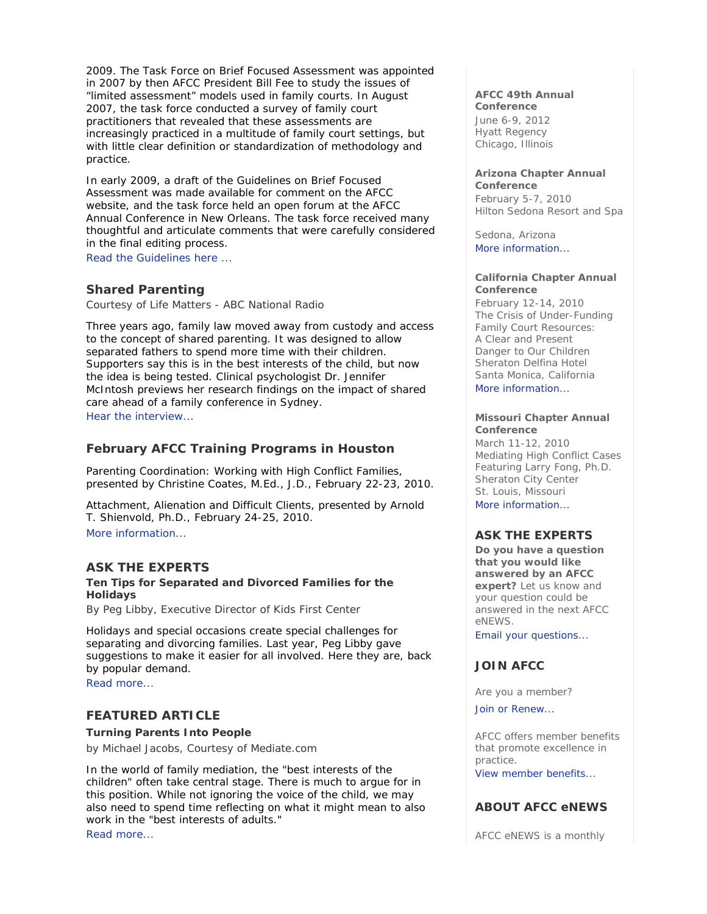2009. The Task Force on Brief Focused Assessment was appointed in 2007 by then AFCC President Bill Fee to study the issues of "limited assessment" models used in family courts. In August 2007, the task force conducted a survey of family court practitioners that revealed that these assessments are increasingly practiced in a multitude of family court settings, but with little clear definition or standardization of methodology and practice.

In early 2009, a draft of the Guidelines on Brief Focused Assessment was made available for comment on the AFCC website, and the task force held an open forum at the AFCC Annual Conference in New Orleans. The task force received many thoughtful and articulate comments that were carefully considered in the final editing process.

Read the Guidelines here ...

## **Shared Parenting**

*Courtesy of Life Matters - ABC National Radio* 

Three years ago, family law moved away from custody and access to the concept of shared parenting. It was designed to allow separated fathers to spend more time with their children. Supporters say this is in the best interests of the child, but now the idea is being tested. Clinical psychologist Dr. Jennifer McIntosh previews her research findings on the impact of shared care ahead of a family conference in Sydney. Hear the interview...

## **February AFCC Training Programs in Houston**

*Parenting Coordination: Working with High Conflict Families*, presented by Christine Coates, M.Ed., J.D., February 22-23, 2010.

*Attachment, Alienation and Difficult Clients,* presented by Arnold T. Shienvold, Ph.D., February 24-25, 2010. More information...

#### **ASK THE EXPERTS**

### **Ten Tips for Separated and Divorced Families for the Holidays**

*By Peg Libby, Executive Director of Kids First Center* 

Holidays and special occasions create special challenges for separating and divorcing families. Last year, Peg Libby gave suggestions to make it easier for all involved. Here they are, back by popular demand.

Read more...

#### **FEATURED ARTICLE**

#### **Turning Parents Into People**

*by Michael Jacobs, Courtesy of Mediate.com* 

In the world of family mediation, the "best interests of the children" often take central stage. There is much to argue for in this position. While not ignoring the voice of the child, we may also need to spend time reflecting on what it might mean to also work in the "best interests of adults." Read more...

#### **AFCC 49th Annual Conference**

June 6-9, 2012 Hyatt Regency Chicago, Illinois

#### **Arizona Chapter Annual Conference**

February 5-7, 2010 Hilton Sedona Resort and Spa

Sedona, Arizona More information...

#### **California Chapter Annual Conference**

February 12-14, 2010 *The Crisis of Under-Funding Family Court Resources: A Clear and Present Danger to Our Children* Sheraton Delfina Hotel Santa Monica, California More information...

#### **Missouri Chapter Annual Conference**

March 11-12, 2010 *Mediating High Conflict Cases* Featuring Larry Fong, Ph.D. Sheraton City Center St. Louis, Missouri More information

### **ASK THE EXPERTS**

**Do you have a question that you would like answered by an AFCC expert?** Let us know and your question could be answered in the next *AFCC eNEWS*.

Email your questions...

# **JOIN AFCC**

Are you a member?

Join or Renew...

AFCC offers member benefits that promote excellence in practice.

View member benefits...

## **ABOUT AFCC eNEWS**

*AFCC eNEWS* is a monthly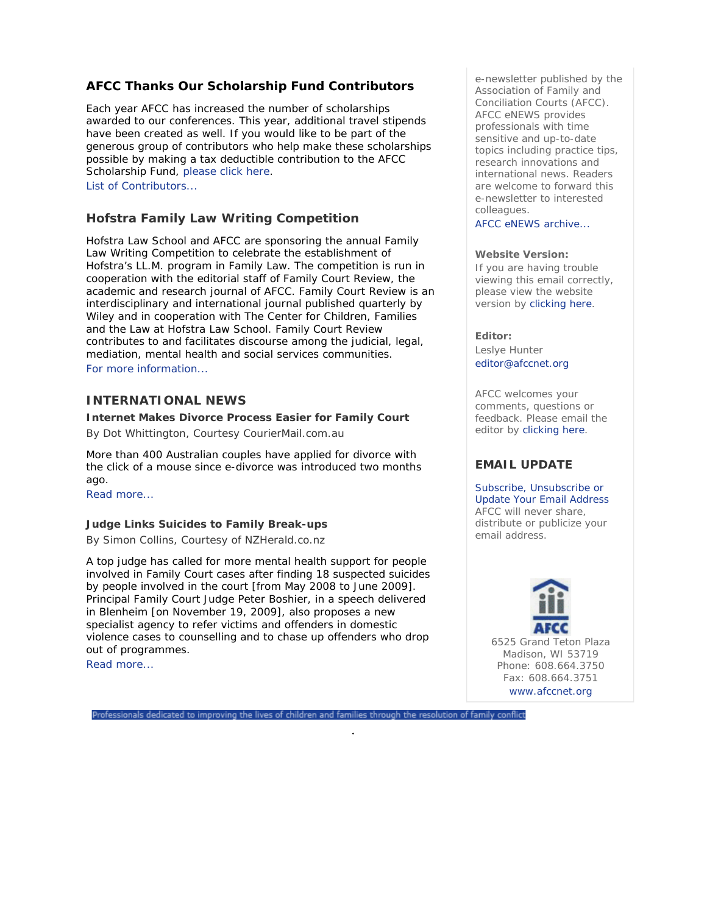# **AFCC Thanks Our Scholarship Fund Contributors**

Each year AFCC has increased the number of scholarships awarded to our conferences. This year, additional travel stipends have been created as well. If you would like to be part of the generous group of contributors who help make these scholarships possible by making a tax deductible contribution to the AFCC Scholarship Fund, please click here. List of Contributors...

# **Hofstra Family Law Writing Competition**

Hofstra Law School and AFCC are sponsoring the annual Family Law Writing Competition to celebrate the establishment of Hofstra's LL.M. program in Family Law. The competition is run in cooperation with the editorial staff of *Family Court Review*, the academic and research journal of AFCC. *Family Court Review* is an interdisciplinary and international journal published quarterly by Wiley and in cooperation with The Center for Children, Families and the Law at Hofstra Law School. *Family Court Review* contributes to and facilitates discourse among the judicial, legal, mediation, mental health and social services communities. For more information...

# **INTERNATIONAL NEWS**

### **Internet Makes Divorce Process Easier for Family Court**

*By Dot Whittington, Courtesy CourierMail.com.au* 

More than 400 Australian couples have applied for divorce with the click of a mouse since e-divorce was introduced two months ago.

Read more...

#### **Judge Links Suicides to Family Break-ups**

*By Simon Collins, Courtesy of NZHerald.co.nz* 

A top judge has called for more mental health support for people involved in Family Court cases after finding 18 suspected suicides by people involved in the court [from May 2008 to June 2009]. Principal Family Court Judge Peter Boshier, in a speech delivered in Blenheim [on November 19, 2009], also proposes a new specialist agency to refer victims and offenders in domestic violence cases to counselling and to chase up offenders who drop out of programmes.

Read more...

Professionals dedicated to improving the lives of children and families through the resolution of family conflict

.

e-newsletter published by the Association of Family and Conciliation Courts (AFCC). *AFCC eNEWS* provides professionals with time sensitive and up-to-date topics including practice tips, research innovations and international news. Readers are welcome to forward this e-newsletter to interested colleagues.

AFCC eNEWS archive...

#### **Website Version:**

If you are having trouble viewing this email correctly, please view the website version by clicking here.

#### **Editor:**

Leslye Hunter editor@afccnet.org

AFCC welcomes your comments, questions or feedback. Please email the editor by clicking here.

## **EMAIL UPDATE**

Subscribe, Unsubscribe or Update Your Email Address AFCC will never share, distribute or publicize your email address.

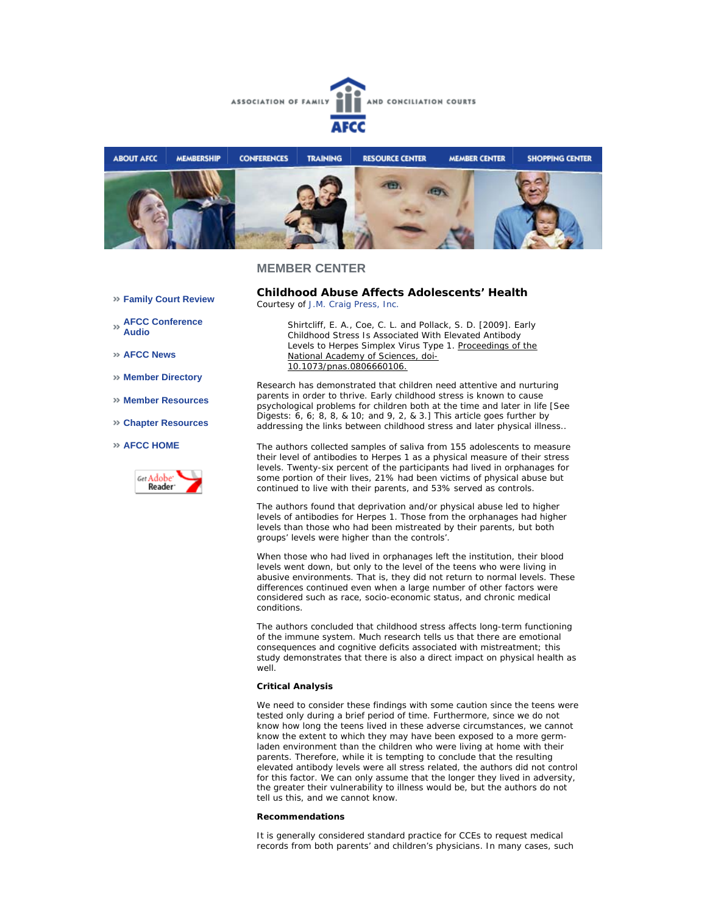



#### **MEMBER CENTER**

**Family Court Review** 

**AFCC Conference Audio** 

**AFCC News** 

- **Member Directory**
- **Member Resources**
- **Chapter Resources**

#### **AFCC HOME**



**Childhood Abuse Affects Adolescents' Health**  *Courtesy of J.M. Craig Press, Inc.*

> *Shirtcliff, E. A., Coe, C. L. and Pollack, S. D. [2009]. Early Childhood Stress Is Associated With Elevated Antibody Levels to Herpes Simplex Virus Type 1. Proceedings of the National Academy of Sciences, doi-10.1073/pnas.0806660106.*

Research has demonstrated that children need attentive and nurturing parents in order to thrive. Early childhood stress is known to cause psychological problems for children both at the time and later in life [See Digests: 6, 6; 8, 8, & 10; and 9, 2, & 3.] This article goes further by addressing the links between childhood stress and later physical illness..

The authors collected samples of saliva from 155 adolescents to measure their level of antibodies to Herpes 1 as a physical measure of their stress levels. Twenty-six percent of the participants had lived in orphanages for some portion of their lives, 21% had been victims of physical abuse but continued to live with their parents, and 53% served as controls.

The authors found that deprivation and/or physical abuse led to higher levels of antibodies for Herpes 1. Those from the orphanages had higher levels than those who had been mistreated by their parents, but both groups' levels were higher than the controls'.

When those who had lived in orphanages left the institution, their blood levels went down, but only to the level of the teens who were living in abusive environments. That is, they did not return to normal levels. These differences continued even when a large number of other factors were considered such as race, socio-economic status, and chronic medical conditions.

The authors concluded that childhood stress affects long-term functioning of the immune system. Much research tells us that there are emotional consequences and cognitive deficits associated with mistreatment; this study demonstrates that there is also a direct impact on physical health as well.

#### **Critical Analysis**

We need to consider these findings with some caution since the teens were tested only during a brief period of time. Furthermore, since we do not know how long the teens lived in these adverse circumstances, we cannot know the extent to which they may have been exposed to a more germladen environment than the children who were living at home with their parents. Therefore, while it is tempting to conclude that the resulting elevated antibody levels were all stress related, the authors did not control for this factor. We can only assume that the longer they lived in adversity, the greater their vulnerability to illness would be, but the authors do not tell us this, and we cannot know.

#### **Recommendations**

It is generally considered standard practice for CCEs to request medical records from both parents' and children's physicians. In many cases, such